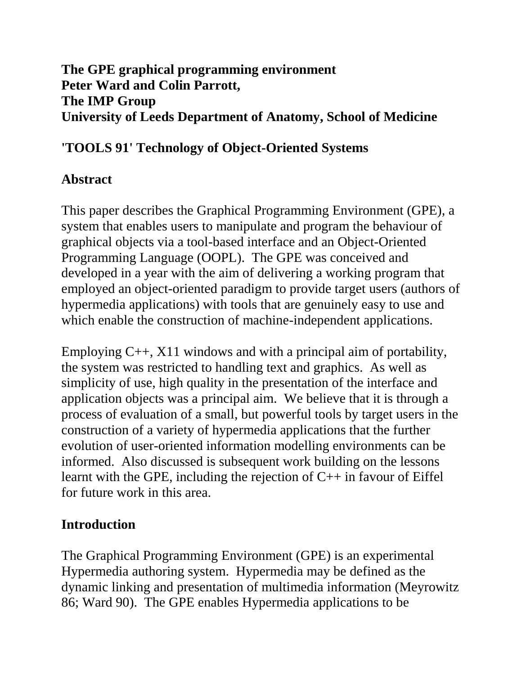### **The GPE graphical programming environment Peter Ward and Colin Parrott, The IMP Group University of Leeds Department of Anatomy, School of Medicine**

### **'TOOLS 91' Technology of Object-Oriented Systems**

## **Abstract**

This paper describes the Graphical Programming Environment (GPE), a system that enables users to manipulate and program the behaviour of graphical objects via a tool-based interface and an Object-Oriented Programming Language (OOPL). The GPE was conceived and developed in a year with the aim of delivering a working program that employed an object-oriented paradigm to provide target users (authors of hypermedia applications) with tools that are genuinely easy to use and which enable the construction of machine-independent applications.

Employing C++, X11 windows and with a principal aim of portability, the system was restricted to handling text and graphics. As well as simplicity of use, high quality in the presentation of the interface and application objects was a principal aim. We believe that it is through a process of evaluation of a small, but powerful tools by target users in the construction of a variety of hypermedia applications that the further evolution of user-oriented information modelling environments can be informed. Also discussed is subsequent work building on the lessons learnt with the GPE, including the rejection of C++ in favour of Eiffel for future work in this area.

# **Introduction**

The Graphical Programming Environment (GPE) is an experimental Hypermedia authoring system. Hypermedia may be defined as the dynamic linking and presentation of multimedia information (Meyrowitz 86; Ward 90). The GPE enables Hypermedia applications to be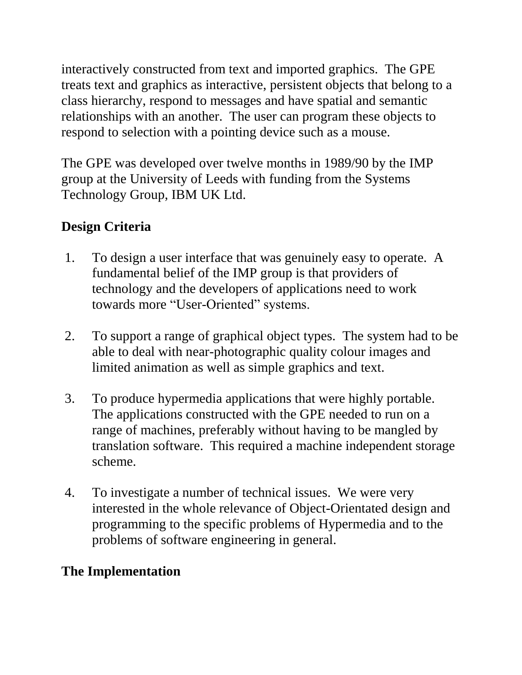interactively constructed from text and imported graphics. The GPE treats text and graphics as interactive, persistent objects that belong to a class hierarchy, respond to messages and have spatial and semantic relationships with an another. The user can program these objects to respond to selection with a pointing device such as a mouse.

The GPE was developed over twelve months in 1989/90 by the IMP group at the University of Leeds with funding from the Systems Technology Group, IBM UK Ltd.

# **Design Criteria**

- 1. To design a user interface that was genuinely easy to operate. A fundamental belief of the IMP group is that providers of technology and the developers of applications need to work towards more "User-Oriented" systems.
- 2. To support a range of graphical object types. The system had to be able to deal with near-photographic quality colour images and limited animation as well as simple graphics and text.
- 3. To produce hypermedia applications that were highly portable. The applications constructed with the GPE needed to run on a range of machines, preferably without having to be mangled by translation software. This required a machine independent storage scheme.
- 4. To investigate a number of technical issues. We were very interested in the whole relevance of Object-Orientated design and programming to the specific problems of Hypermedia and to the problems of software engineering in general.

# **The Implementation**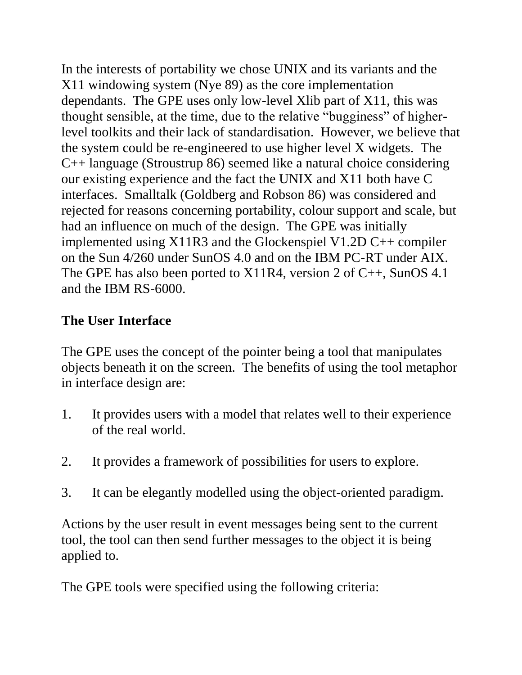In the interests of portability we chose UNIX and its variants and the X11 windowing system (Nye 89) as the core implementation dependants. The GPE uses only low-level Xlib part of X11, this was thought sensible, at the time, due to the relative "bugginess" of higherlevel toolkits and their lack of standardisation. However, we believe that the system could be re-engineered to use higher level X widgets. The C++ language (Stroustrup 86) seemed like a natural choice considering our existing experience and the fact the UNIX and X11 both have C interfaces. Smalltalk (Goldberg and Robson 86) was considered and rejected for reasons concerning portability, colour support and scale, but had an influence on much of the design. The GPE was initially implemented using X11R3 and the Glockenspiel V1.2D C++ compiler on the Sun 4/260 under SunOS 4.0 and on the IBM PC-RT under AIX. The GPE has also been ported to  $X11R4$ , version 2 of C++, SunOS 4.1 and the IBM RS-6000.

## **The User Interface**

The GPE uses the concept of the pointer being a tool that manipulates objects beneath it on the screen. The benefits of using the tool metaphor in interface design are:

- 1. It provides users with a model that relates well to their experience of the real world.
- 2. It provides a framework of possibilities for users to explore.
- 3. It can be elegantly modelled using the object-oriented paradigm.

Actions by the user result in event messages being sent to the current tool, the tool can then send further messages to the object it is being applied to.

The GPE tools were specified using the following criteria: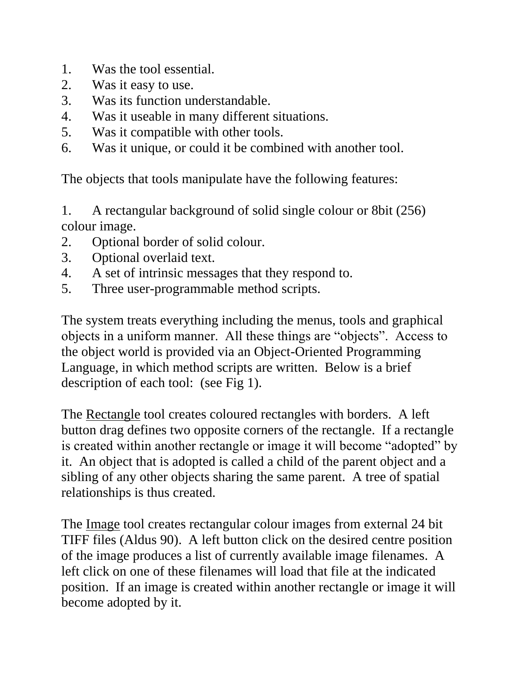- 1. Was the tool essential.
- 2. Was it easy to use.
- 3. Was its function understandable.
- 4. Was it useable in many different situations.
- 5. Was it compatible with other tools.
- 6. Was it unique, or could it be combined with another tool.

The objects that tools manipulate have the following features:

1. A rectangular background of solid single colour or 8bit (256) colour image.

- 2. Optional border of solid colour.
- 3. Optional overlaid text.
- 4. A set of intrinsic messages that they respond to.
- 5. Three user-programmable method scripts.

The system treats everything including the menus, tools and graphical objects in a uniform manner. All these things are "objects". Access to the object world is provided via an Object-Oriented Programming Language, in which method scripts are written. Below is a brief description of each tool: (see Fig 1).

The Rectangle tool creates coloured rectangles with borders. A left button drag defines two opposite corners of the rectangle. If a rectangle is created within another rectangle or image it will become "adopted" by it. An object that is adopted is called a child of the parent object and a sibling of any other objects sharing the same parent. A tree of spatial relationships is thus created.

The Image tool creates rectangular colour images from external 24 bit TIFF files (Aldus 90). A left button click on the desired centre position of the image produces a list of currently available image filenames. A left click on one of these filenames will load that file at the indicated position. If an image is created within another rectangle or image it will become adopted by it.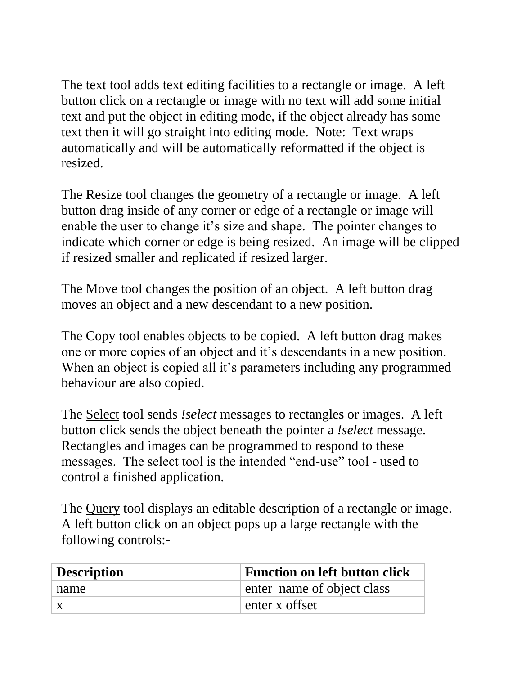The text tool adds text editing facilities to a rectangle or image. A left button click on a rectangle or image with no text will add some initial text and put the object in editing mode, if the object already has some text then it will go straight into editing mode. Note: Text wraps automatically and will be automatically reformatted if the object is resized.

The Resize tool changes the geometry of a rectangle or image. A left button drag inside of any corner or edge of a rectangle or image will enable the user to change it's size and shape. The pointer changes to indicate which corner or edge is being resized. An image will be clipped if resized smaller and replicated if resized larger.

The Move tool changes the position of an object. A left button drag moves an object and a new descendant to a new position.

The Copy tool enables objects to be copied. A left button drag makes one or more copies of an object and it's descendants in a new position. When an object is copied all it's parameters including any programmed behaviour are also copied.

The Select tool sends *!select* messages to rectangles or images. A left button click sends the object beneath the pointer a *!select* message. Rectangles and images can be programmed to respond to these messages. The select tool is the intended "end-use" tool - used to control a finished application.

The Query tool displays an editable description of a rectangle or image. A left button click on an object pops up a large rectangle with the following controls:-

| <b>Description</b> | <b>Function on left button click</b> |
|--------------------|--------------------------------------|
| name               | enter name of object class           |
| X                  | enter x offset                       |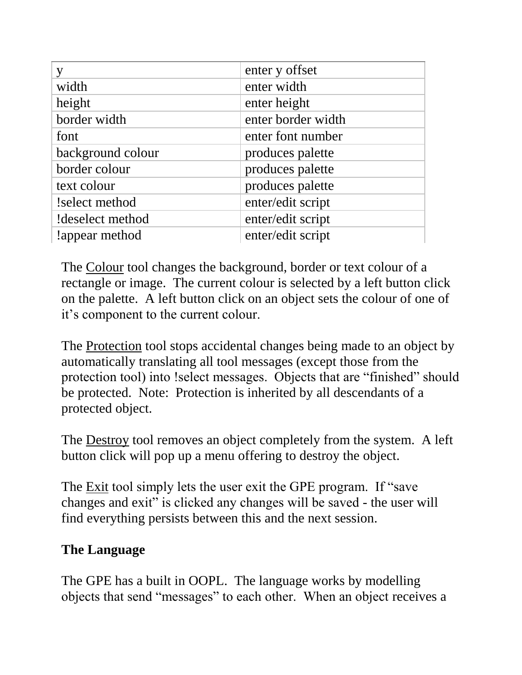| y                 | enter y offset     |
|-------------------|--------------------|
| width             | enter width        |
| height            | enter height       |
| border width      | enter border width |
| font              | enter font number  |
| background colour | produces palette   |
| border colour     | produces palette   |
| text colour       | produces palette   |
| !select method    | enter/edit script  |
| !deselect method  | enter/edit script  |
| lappear method    | enter/edit script  |

The Colour tool changes the background, border or text colour of a rectangle or image. The current colour is selected by a left button click on the palette. A left button click on an object sets the colour of one of it's component to the current colour.

The Protection tool stops accidental changes being made to an object by automatically translating all tool messages (except those from the protection tool) into !select messages. Objects that are "finished" should be protected. Note: Protection is inherited by all descendants of a protected object.

The Destroy tool removes an object completely from the system. A left button click will pop up a menu offering to destroy the object.

The Exit tool simply lets the user exit the GPE program. If "save" changes and exit" is clicked any changes will be saved - the user will find everything persists between this and the next session.

### **The Language**

The GPE has a built in OOPL. The language works by modelling objects that send "messages" to each other. When an object receives a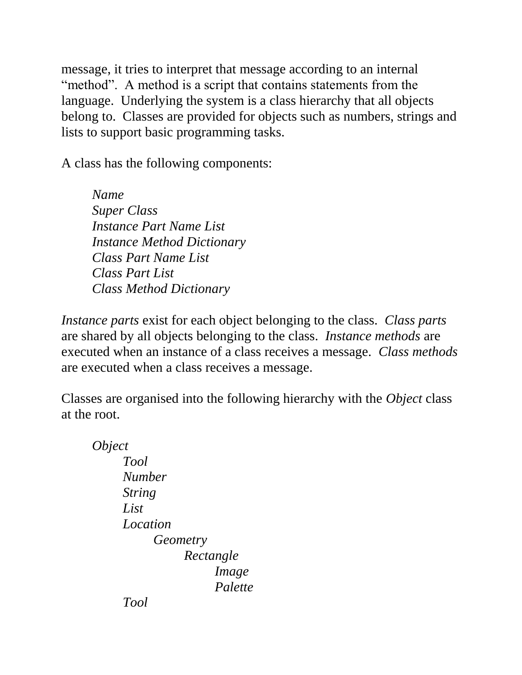message, it tries to interpret that message according to an internal "method". A method is a script that contains statements from the language. Underlying the system is a class hierarchy that all objects belong to. Classes are provided for objects such as numbers, strings and lists to support basic programming tasks.

A class has the following components:

*Name Super Class Instance Part Name List Instance Method Dictionary Class Part Name List Class Part List Class Method Dictionary*

*Instance parts* exist for each object belonging to the class. *Class parts* are shared by all objects belonging to the class. *Instance methods* are executed when an instance of a class receives a message. *Class methods* are executed when a class receives a message.

Classes are organised into the following hierarchy with the *Object* class at the root.

*Object Tool Number String List Location Geometry Rectangle Image Palette Tool*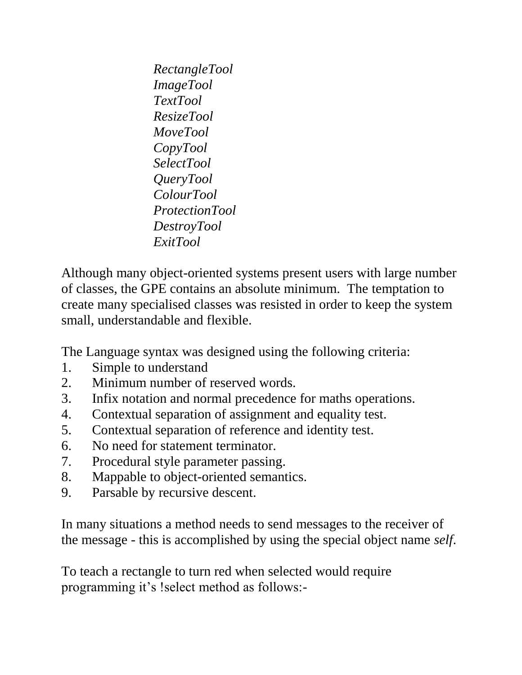*RectangleTool ImageTool TextTool ResizeTool MoveTool CopyTool SelectTool QueryTool ColourTool ProtectionTool DestroyTool ExitTool*

Although many object-oriented systems present users with large number of classes, the GPE contains an absolute minimum. The temptation to create many specialised classes was resisted in order to keep the system small, understandable and flexible.

The Language syntax was designed using the following criteria:

- 1. Simple to understand
- 2. Minimum number of reserved words.
- 3. Infix notation and normal precedence for maths operations.
- 4. Contextual separation of assignment and equality test.
- 5. Contextual separation of reference and identity test.
- 6. No need for statement terminator.
- 7. Procedural style parameter passing.
- 8. Mappable to object-oriented semantics.
- 9. Parsable by recursive descent.

In many situations a method needs to send messages to the receiver of the message - this is accomplished by using the special object name *self*.

To teach a rectangle to turn red when selected would require programming it's !select method as follows:-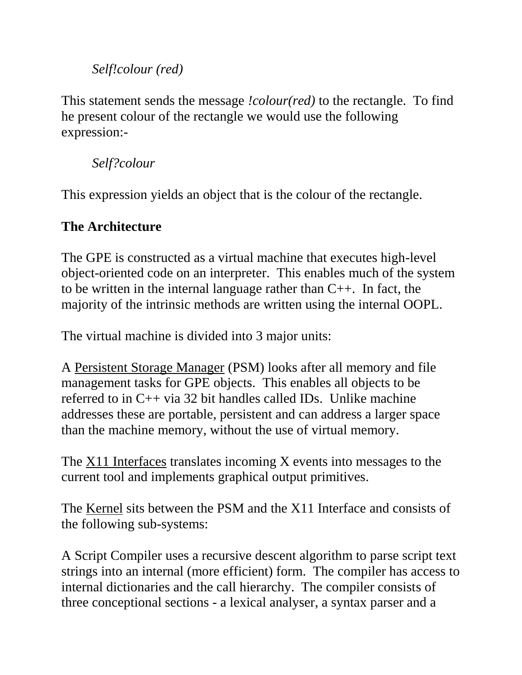### *Self!colour (red)*

This statement sends the message *!colour(red)* to the rectangle. To find he present colour of the rectangle we would use the following expression:-

*Self?colour*

This expression yields an object that is the colour of the rectangle.

### **The Architecture**

The GPE is constructed as a virtual machine that executes high-level object-oriented code on an interpreter. This enables much of the system to be written in the internal language rather than C++. In fact, the majority of the intrinsic methods are written using the internal OOPL.

The virtual machine is divided into 3 major units:

A Persistent Storage Manager (PSM) looks after all memory and file management tasks for GPE objects. This enables all objects to be referred to in C++ via 32 bit handles called IDs. Unlike machine addresses these are portable, persistent and can address a larger space than the machine memory, without the use of virtual memory.

The X11 Interfaces translates incoming X events into messages to the current tool and implements graphical output primitives.

The Kernel sits between the PSM and the X11 Interface and consists of the following sub-systems:

A Script Compiler uses a recursive descent algorithm to parse script text strings into an internal (more efficient) form. The compiler has access to internal dictionaries and the call hierarchy. The compiler consists of three conceptional sections - a lexical analyser, a syntax parser and a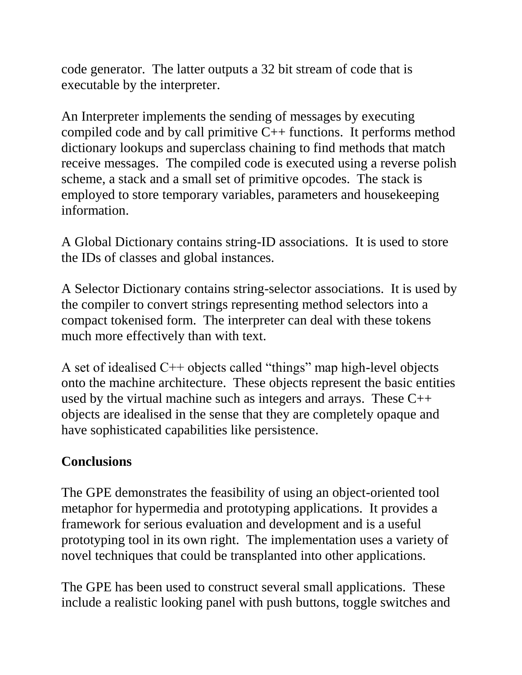code generator. The latter outputs a 32 bit stream of code that is executable by the interpreter.

An Interpreter implements the sending of messages by executing compiled code and by call primitive  $C_{++}$  functions. It performs method dictionary lookups and superclass chaining to find methods that match receive messages. The compiled code is executed using a reverse polish scheme, a stack and a small set of primitive opcodes. The stack is employed to store temporary variables, parameters and housekeeping information.

A Global Dictionary contains string-ID associations. It is used to store the IDs of classes and global instances.

A Selector Dictionary contains string-selector associations. It is used by the compiler to convert strings representing method selectors into a compact tokenised form. The interpreter can deal with these tokens much more effectively than with text.

A set of idealised C++ objects called "things" map high-level objects onto the machine architecture. These objects represent the basic entities used by the virtual machine such as integers and arrays. These C++ objects are idealised in the sense that they are completely opaque and have sophisticated capabilities like persistence.

### **Conclusions**

The GPE demonstrates the feasibility of using an object-oriented tool metaphor for hypermedia and prototyping applications. It provides a framework for serious evaluation and development and is a useful prototyping tool in its own right. The implementation uses a variety of novel techniques that could be transplanted into other applications.

The GPE has been used to construct several small applications. These include a realistic looking panel with push buttons, toggle switches and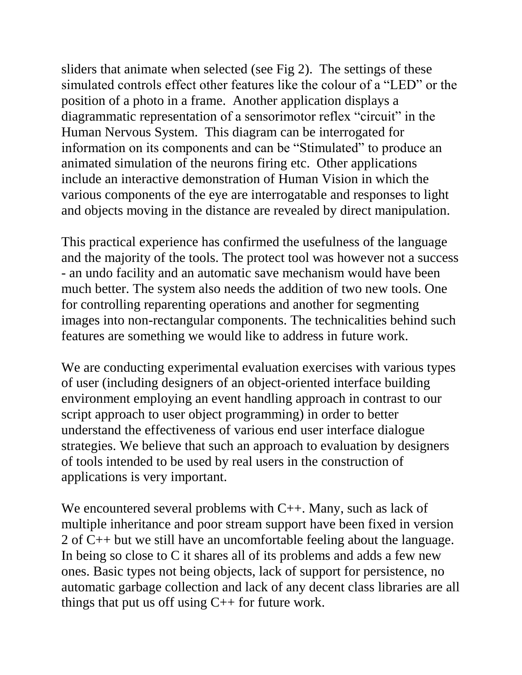sliders that animate when selected (see Fig 2). The settings of these simulated controls effect other features like the colour of a "LED" or the position of a photo in a frame. Another application displays a diagrammatic representation of a sensorimotor reflex "circuit" in the Human Nervous System. This diagram can be interrogated for information on its components and can be "Stimulated" to produce an animated simulation of the neurons firing etc. Other applications include an interactive demonstration of Human Vision in which the various components of the eye are interrogatable and responses to light and objects moving in the distance are revealed by direct manipulation.

This practical experience has confirmed the usefulness of the language and the majority of the tools. The protect tool was however not a success - an undo facility and an automatic save mechanism would have been much better. The system also needs the addition of two new tools. One for controlling reparenting operations and another for segmenting images into non-rectangular components. The technicalities behind such features are something we would like to address in future work.

We are conducting experimental evaluation exercises with various types of user (including designers of an object-oriented interface building environment employing an event handling approach in contrast to our script approach to user object programming) in order to better understand the effectiveness of various end user interface dialogue strategies. We believe that such an approach to evaluation by designers of tools intended to be used by real users in the construction of applications is very important.

We encountered several problems with C++. Many, such as lack of multiple inheritance and poor stream support have been fixed in version 2 of C++ but we still have an uncomfortable feeling about the language. In being so close to C it shares all of its problems and adds a few new ones. Basic types not being objects, lack of support for persistence, no automatic garbage collection and lack of any decent class libraries are all things that put us off using  $C++$  for future work.